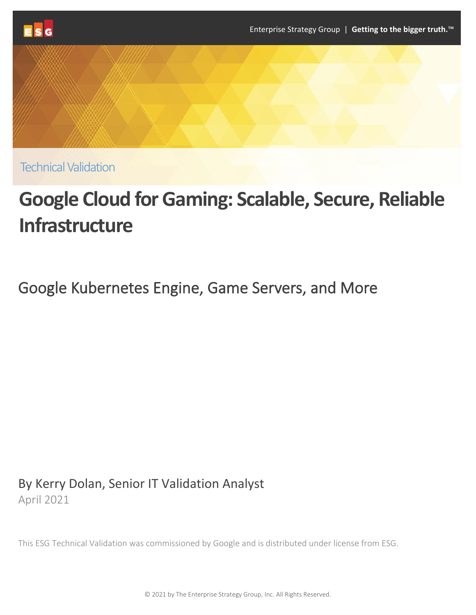

Technical Validation

# **Google Cloud for Gaming: Scalable, Secure, Reliable Infrastructure**

Google Kubernetes Engine, Game Servers, and More

By Kerry Dolan, Senior IT Validation Analyst April 2021

This ESG Technical Validation was commissioned by Google and is distributed under license from ESG.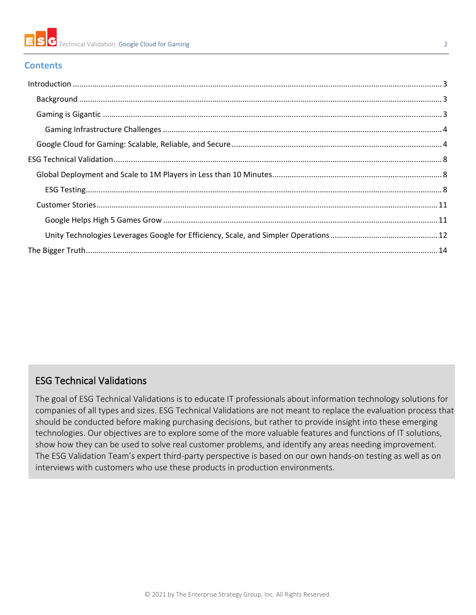

#### **Contents**

| $\label{lem:1.1} \mbox{Introduction} \,\, \ldots \,\, \ldots \,\, \ldots \,\, \ldots \,\, \ldots \,\, \ldots \,\, \ldots \,\, \ldots \,\, \ldots \,\, \ldots \,\, \ldots \,\, \ldots \,\, \ldots \,\, \ldots \,\, \ldots \,\, \ldots \,\, \ldots \,\, \ldots \,\, \ldots \,\, \ldots \,\, \ldots \,\, \ldots \,\, \ldots \,\, \ldots \,\, \ldots \,\, \ldots \,\, \ldots \,\, \ldots \,\, \ldots \,\, \ldots \,\, \ldots \,\, \ldots \,\, \ldots \,\, \ldots \$ |  |
|-----------------------------------------------------------------------------------------------------------------------------------------------------------------------------------------------------------------------------------------------------------------------------------------------------------------------------------------------------------------------------------------------------------------------------------------------------------------|--|
|                                                                                                                                                                                                                                                                                                                                                                                                                                                                 |  |
|                                                                                                                                                                                                                                                                                                                                                                                                                                                                 |  |
|                                                                                                                                                                                                                                                                                                                                                                                                                                                                 |  |
|                                                                                                                                                                                                                                                                                                                                                                                                                                                                 |  |
|                                                                                                                                                                                                                                                                                                                                                                                                                                                                 |  |
|                                                                                                                                                                                                                                                                                                                                                                                                                                                                 |  |
|                                                                                                                                                                                                                                                                                                                                                                                                                                                                 |  |
|                                                                                                                                                                                                                                                                                                                                                                                                                                                                 |  |
|                                                                                                                                                                                                                                                                                                                                                                                                                                                                 |  |
|                                                                                                                                                                                                                                                                                                                                                                                                                                                                 |  |
|                                                                                                                                                                                                                                                                                                                                                                                                                                                                 |  |

# ESG Technical Validations

The goal of ESG Technical Validations is to educate IT professionals about information technology solutions for companies of all types and sizes. ESG Technical Validations are not meant to replace the evaluation process that should be conducted before making purchasing decisions, but rather to provide insight into these emerging technologies. Our objectives are to explore some of the more valuable features and functions of IT solutions, show how they can be used to solve real customer problems, and identify any areas needing improvement. The ESG Validation Team's expert third-party perspective is based on our own hands-on testing as well as on interviews with customers who use these products in production environments.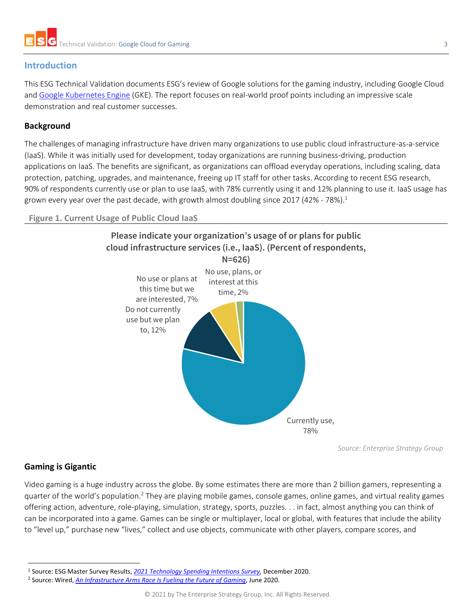# <span id="page-2-0"></span>**Introduction**

This ESG Technical Validation documents ESG's review of Google solutions for the gaming industry, including Google Cloud an[d Google Kubernetes Engine](https://cloud.google.com/kubernetes-engine) (GKE). The report focuses on real-world proof points including an impressive scale demonstration and real customer successes.

### <span id="page-2-1"></span>**Background**

The challenges of managing infrastructure have driven many organizations to use public cloud infrastructure-as-a-service (IaaS). While it was initially used for development, today organizations are running business-driving, production applications on IaaS. The benefits are significant, as organizations can offload everyday operations, including scaling, data protection, patching, upgrades, and maintenance, freeing up IT staff for other tasks. According to recent ESG research, 90% of respondents currently use or plan to use IaaS, with 78% currently using it and 12% planning to use it. IaaS usage has grown every year over the past decade, with growth almost doubling since 2017 (42% - 78%). $^{\rm 1}$ 

**Figure 1. Current Usage of Public Cloud IaaS**



*Source: Enterprise Strategy Group*

## <span id="page-2-2"></span>**Gaming is Gigantic**

Video gaming is a huge industry across the globe. By some estimates there are more than 2 billion gamers, representing a quarter of the world's population.<sup>2</sup> They are playing mobile games, console games, online games, and virtual reality games offering action, adventure, role-playing, simulation, strategy, sports, puzzles. . . in fact, almost anything you can think of can be incorporated into a game. Games can be single or multiplayer, local or global, with features that include the ability to "level up," purchase new "lives," collect and use objects, communicate with other players, compare scores, and

<sup>1</sup> Source: ESG Master Survey Results, *[2021 Technology Spending Intentions Survey,](https://research.esg-global.com/reportaction/MSR2021SpendingIntentionsDec2020/Toc)* December 2020.

<sup>2</sup> Source: Wired, *[An Infrastructure Arms Race Is Fueling the Future of Gaming](https://www.wired.com/story/cloud-gaming-infrastructure-arms-race/)*, June 2020.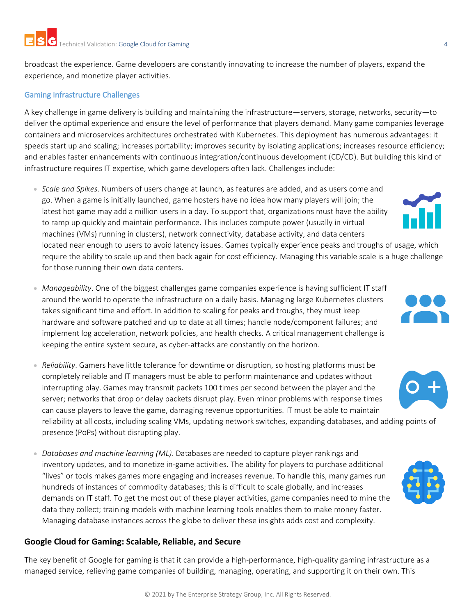for those running their own data centers.

broadcast the experience. Game developers are constantly innovating to increase the number of players, expand the experience, and monetize player activities.

#### <span id="page-3-0"></span>Gaming Infrastructure Challenges

A key challenge in game delivery is building and maintaining the infrastructure—servers, storage, networks, security—to deliver the optimal experience and ensure the level of performance that players demand. Many game companies leverage containers and microservices architectures orchestrated with Kubernetes. This deployment has numerous advantages: it speeds start up and scaling; increases portability; improves security by isolating applications; increases resource efficiency; and enables faster enhancements with continuous integration/continuous development (CD/CD). But building this kind of infrastructure requires IT expertise, which game developers often lack. Challenges include:

- *Scale and Spikes*. Numbers of users change at launch, as features are added, and as users come and go. When a game is initially launched, game hosters have no idea how many players will join; the latest hot game may add a million users in a day. To support that, organizations must have the ability to ramp up quickly and maintain performance. This includes compute power (usually in virtual machines (VMs) running in clusters), network connectivity, database activity, and data centers located near enough to users to avoid latency issues. Games typically experience peaks and troughs of usage, which require the ability to scale up and then back again for cost efficiency. Managing this variable scale is a huge challenge
- *Manageability*. One of the biggest challenges game companies experience is having sufficient IT staff around the world to operate the infrastructure on a daily basis. Managing large Kubernetes clusters takes significant time and effort. In addition to scaling for peaks and troughs, they must keep hardware and software patched and up to date at all times; handle node/component failures; and implement log acceleration, network policies, and health checks. A critical management challenge is keeping the entire system secure, as cyber-attacks are constantly on the horizon.
- *Reliability*. Gamers have little tolerance for downtime or disruption, so hosting platforms must be completely reliable and IT managers must be able to perform maintenance and updates without interrupting play. Games may transmit packets 100 times per second between the player and the server; networks that drop or delay packets disrupt play. Even minor problems with response times can cause players to leave the game, damaging revenue opportunities. IT must be able to maintain reliability at all costs, including scaling VMs, updating network switches, expanding databases, and adding points of presence (PoPs) without disrupting play.
- *Databases and machine learning (ML)*. Databases are needed to capture player rankings and inventory updates, and to monetize in-game activities. The ability for players to purchase additional "lives" or tools makes games more engaging and increases revenue. To handle this, many games run hundreds of instances of commodity databases; this is difficult to scale globally, and increases demands on IT staff. To get the most out of these player activities, game companies need to mine the data they collect; training models with machine learning tools enables them to make money faster. Managing database instances across the globe to deliver these insights adds cost and complexity.

#### <span id="page-3-1"></span>**Google Cloud for Gaming: Scalable, Reliable, and Secure**

The key benefit of Google for gaming is that it can provide a high-performance, high-quality gaming infrastructure as a managed service, relieving game companies of building, managing, operating, and supporting it on their own. This





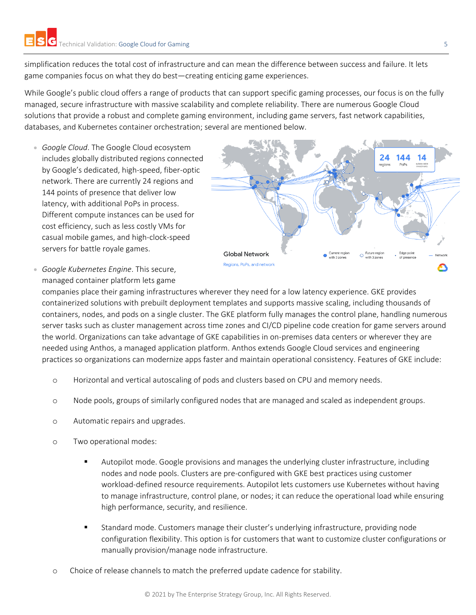simplification reduces the total cost of infrastructure and can mean the difference between success and failure. It lets game companies focus on what they do best—creating enticing game experiences.

While Google's public cloud offers a range of products that can support specific gaming processes, our focus is on the fully managed, secure infrastructure with massive scalability and complete reliability. There are numerous Google Cloud solutions that provide a robust and complete gaming environment, including game servers, fast network capabilities, databases, and Kubernetes container orchestration; several are mentioned below.

• *Google Cloud*. The Google Cloud ecosystem includes globally distributed regions connected by Google's dedicated, high-speed, fiber-optic network. There are currently 24 regions and 144 points of presence that deliver low latency, with additional PoPs in process. Different compute instances can be used for cost efficiency, such as less costly VMs for casual mobile games, and high-clock-speed servers for battle royale games.



• *Google Kubernetes Engine*. This secure, managed container platform lets game

companies place their gaming infrastructures wherever they need for a low latency experience. GKE provides containerized solutions with prebuilt deployment templates and supports massive scaling, including thousands of containers, nodes, and pods on a single cluster. The GKE platform fully manages the control plane, handling numerous server tasks such as cluster management across time zones and CI/CD pipeline code creation for game servers around the world. Organizations can take advantage of GKE capabilities in on-premises data centers or wherever they are needed usin[g Anthos,](http://cloud.google.com/anthos) a managed application platform. Anthos extends Google Cloud services and engineering practices so organizations can modernize apps faster and maintain operational consistency. Features of GKE include:

- o Horizontal and vertical autoscaling of pods and clusters based on CPU and memory needs.
- o Node pools, groups of similarly configured nodes that are managed and scaled as independent groups.
- o Automatic repairs and upgrades.
- o Two operational modes:
	- Autopilot mode. Google provisions and manages the underlying cluster infrastructure, including nodes and node pools. Clusters are pre-configured with GKE best practices using customer workload-defined resource requirements. Autopilot lets customers use Kubernetes without having to manage infrastructure, control plane, or nodes; it can reduce the operational load while ensuring high performance, security, and resilience.
	- Standard mode. Customers manage their cluster's underlying infrastructure, providing node configuration flexibility. This option is for customers that want to customize cluster configurations or manually provision/manage node infrastructure.
- o Choice of release channels to match the preferred update cadence for stability.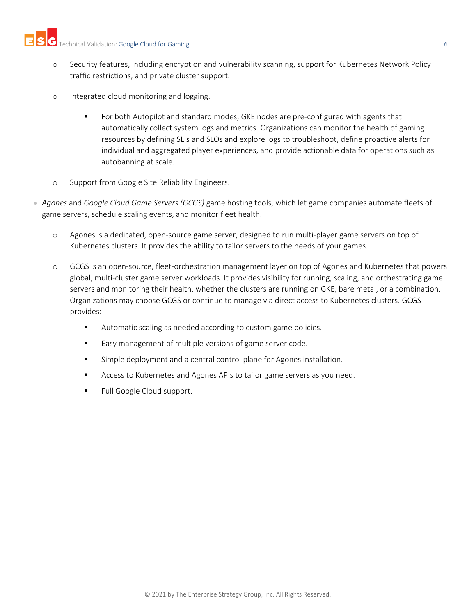- o Security features, including encryption and vulnerability scanning, support for Kubernetes Network Policy traffic restrictions, and private cluster support.
- o Integrated cloud monitoring and logging.
	- **■** For both Autopilot and standard modes, GKE nodes are pre-configured with agents that automatically collect system logs and metrics. Organizations can monitor the health of gaming resources by defining SLIs and SLOs and explore logs to troubleshoot, define proactive alerts for individual and aggregated player experiences, and provide actionable data for operations such as autobanning at scale.
- o Support from Google Site Reliability Engineers.
- *Agones* and *Google Cloud Game Servers (GCGS)* game hosting tools, which let game companies automate fleets of game servers, schedule scaling events, and monitor fleet health.
	- o Agones is a dedicated, open-source game server, designed to run multi-player game servers on top of Kubernetes clusters. It provides the ability to tailor servers to the needs of your games.
	- o GCGS is an open-source, fleet-orchestration management layer on top of Agones and Kubernetes that powers global, multi-cluster game server workloads. It provides visibility for running, scaling, and orchestrating game servers and monitoring their health, whether the clusters are running on GKE, bare metal, or a combination. Organizations may choose GCGS or continue to manage via direct access to Kubernetes clusters. GCGS provides:
		- Automatic scaling as needed according to custom game policies.
		- Easy management of multiple versions of game server code.
		- Simple deployment and a central control plane for Agones installation.
		- Access to Kubernetes and Agones APIs to tailor game servers as you need.
		- Full Google Cloud support.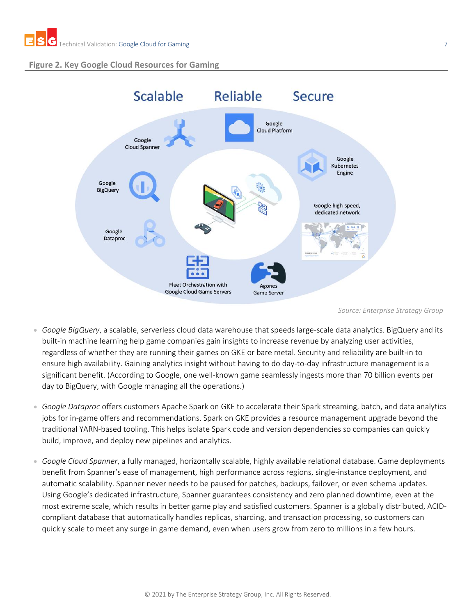



*Source: Enterprise Strategy Group*

- *Google BigQuery*, a scalable, serverless cloud data warehouse that speeds large-scale data analytics. BigQuery and its built-in machine learning help game companies gain insights to increase revenue by analyzing user activities, regardless of whether they are running their games on GKE or bare metal. Security and reliability are built-in to ensure high availability. Gaining analytics insight without having to do day-to-day infrastructure management is a significant benefit. (According to Google, one well-known game seamlessly ingests more than 70 billion events per day to BigQuery, with Google managing all the operations.)
- *Google Dataproc* offers customers Apache Spark on GKE to accelerate their Spark streaming, batch, and data analytics jobs for in-game offers and recommendations. Spark on GKE provides a resource management upgrade beyond the traditional YARN-based tooling. This helps isolate Spark code and version dependencies so companies can quickly build, improve, and deploy new pipelines and analytics.
- *Google Cloud Spanner*, a fully managed, horizontally scalable, highly available relational database. Game deployments benefit from Spanner's ease of management, high performance across regions, single-instance deployment, and automatic scalability. Spanner never needs to be paused for patches, backups, failover, or even schema updates. Using Google's dedicated infrastructure, Spanner guarantees consistency and zero planned downtime, even at the most extreme scale, which results in better game play and satisfied customers. Spanner is a globally distributed, ACIDcompliant database that automatically handles replicas, sharding, and transaction processing, so customers can quickly scale to meet any surge in game demand, even when users grow from zero to millions in a few hours.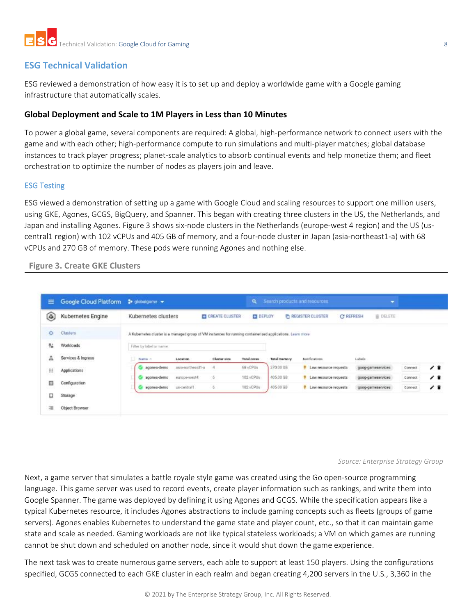# <span id="page-7-0"></span>**ESG Technical Validation**

ESG reviewed a demonstration of how easy it is to set up and deploy a worldwide game with a Google gaming infrastructure that automatically scales.

#### <span id="page-7-1"></span>**Global Deployment and Scale to 1M Players in Less than 10 Minutes**

To power a global game, several components are required: A global, high-performance network to connect users with the game and with each other; high-performance compute to run simulations and multi-player matches; global database instances to track player progress; planet-scale analytics to absorb continual events and help monetize them; and fleet orchestration to optimize the number of nodes as players join and leave.

#### <span id="page-7-2"></span>ESG Testing

ESG viewed a demonstration of setting up a game with Google Cloud and scaling resources to support one million users, using GKE, Agones, GCGS, BigQuery, and Spanner. This began with creating three clusters in the US, the Netherlands, and Japan and installing Agones. Figure 3 shows six-node clusters in the Netherlands (europe-west 4 region) and the US (uscentral1 region) with 102 vCPUs and 405 GB of memory, and a four-node cluster in Japan (asia-northeast1-a) with 68 vCPUs and 270 GB of memory. These pods were running Agones and nothing else.

#### **Figure 3. Create GKE Clusters**

| $\equiv$ | Google Cloud Platform De globalgame |                                                                                                            |                   |                       | $\alpha$           |                     | Search products and resources    | ۰                             |          |     |
|----------|-------------------------------------|------------------------------------------------------------------------------------------------------------|-------------------|-----------------------|--------------------|---------------------|----------------------------------|-------------------------------|----------|-----|
| ۵        | Kubernetes Engine                   | Kubernetes clusters                                                                                        |                   | <b>CREATE CLUSTER</b> | <b>ET DEPLOY</b>   |                     | <b><i>F</i></b> REGISTER CLUSTER | C! REFRESH<br><b>B</b> DELETE |          |     |
| 垂        | <b>Clusters</b>                     | A Kubernetes cluster is a managed group of VM instances for running containerized applications. Learn more |                   |                       |                    |                     |                                  |                               |          |     |
| 黏        | Workloads                           | Filter by label or name.                                                                                   |                   |                       |                    |                     |                                  |                               |          |     |
| Α        | Services & Ingress                  | Name -                                                                                                     | Location          | Cluster size          | <b>Total</b> cores | <b>Total memory</b> | Notifications                    | Lubels                        |          |     |
| 詛        | Applications                        | agones-demo                                                                                                | asia-northeast1-a | $\overline{1}$        | 68 vCPUs           | 270.00 GB           | Low resource requests            | goog-gameservices             | Connect  | / î |
|          |                                     | agones-demo                                                                                                | europe-west4      | 6                     | 102 vCPUs          | 405.00 GB           | ۰<br>Low resource requests       | goog-gameservices             | Connect: | / î |
| 田        | Configuration                       | agones-demo                                                                                                | us-central1       | 6                     | 102 vCPUs          | 405.00 GB           | ٠<br>Low resource requests       | goog-gameservices             | Connect  | / T |
| ۵        | Storage                             |                                                                                                            |                   |                       |                    |                     |                                  |                               |          |     |
|          |                                     |                                                                                                            |                   |                       |                    |                     |                                  |                               |          |     |

#### *Source: Enterprise Strategy Group*

Next, a game server that simulates a battle royale style game was created using the Go open-source programming language. This game server was used to record events, create player information such as rankings, and write them into Google Spanner. The game was deployed by defining it using Agones and GCGS. While the specification appears like a typical Kubernetes resource, it includes Agones abstractions to include gaming concepts such as fleets (groups of game servers). Agones enables Kubernetes to understand the game state and player count, etc., so that it can maintain game state and scale as needed. Gaming workloads are not like typical stateless workloads; a VM on which games are running cannot be shut down and scheduled on another node, since it would shut down the game experience.

The next task was to create numerous game servers, each able to support at least 150 players. Using the configurations specified, GCGS connected to each GKE cluster in each realm and began creating 4,200 servers in the U.S., 3,360 in the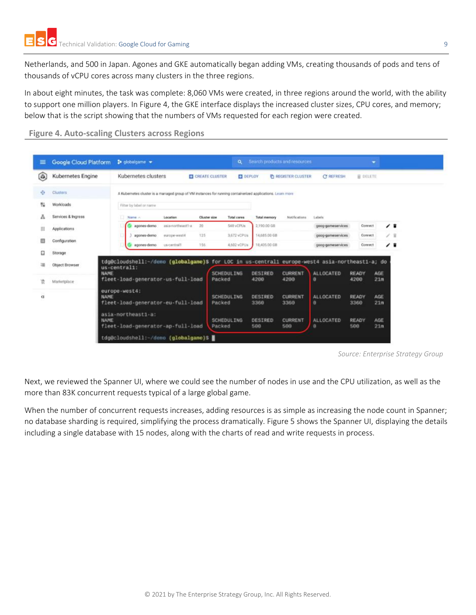Netherlands, and 500 in Japan. Agones and GKE automatically began adding VMs, creating thousands of pods and tens of thousands of vCPU cores across many clusters in the three regions.

In about eight minutes, the task was complete: 8,060 VMs were created, in three regions around the world, with the ability to support one million players. In Figure 4, the GKE interface displays the increased cluster sizes, CPU cores, and memory; below that is the script showing that the numbers of VMs requested for each region were created.

**Figure 4. Auto-scaling Clusters across Regions**



*Source: Enterprise Strategy Group*

Next, we reviewed the Spanner UI, where we could see the number of nodes in use and the CPU utilization, as well as the more than 83K concurrent requests typical of a large global game.

When the number of concurrent requests increases, adding resources is as simple as increasing the node count in Spanner; no database sharding is required, simplifying the process dramatically. Figure 5 shows the Spanner UI, displaying the details including a single database with 15 nodes, along with the charts of read and write requests in process.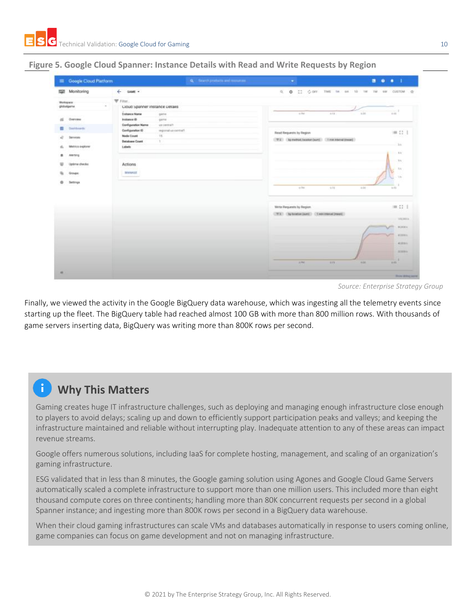|          | Coogle Cloud Platform |                                          | Q - Search products and measures and contact the contact of |                                                                                 | .                           |
|----------|-----------------------|------------------------------------------|-------------------------------------------------------------|---------------------------------------------------------------------------------|-----------------------------|
|          | <b>SEE</b> Monitoring | $\leftarrow$ same -                      |                                                             | $\label{eq:1} \mathcal{L}_{\mathcal{R}}$<br>Ф 22 фон тие м ни ти ти ни совтом ф |                             |
|          | Werkspace             | W raw.                                   |                                                             |                                                                                 |                             |
|          | gittsdgame            | Uloud Spanner Instance Details           |                                                             |                                                                                 |                             |
|          |                       | <b>Evatuace Name</b><br>GRESS            |                                                             | a Hall<br>$-0.11$<br>3.30                                                       | -- 1<br>4.48                |
| $\alpha$ | Overview              | <b>Distance (D)</b><br>game              |                                                             |                                                                                 |                             |
| 目        | Statchmartin          | Configuration Name<br>us-central?        |                                                             |                                                                                 |                             |
|          |                       | Configuration ID<br>regional up-contral? |                                                             | <b>Read Requests by Region</b>                                                  | 無口 1                        |
| à        | Services              | <b>Nade Count</b><br>15.                 |                                                             |                                                                                 |                             |
|          |                       | Database Count<br>T.                     |                                                             |                                                                                 | (bk)                        |
| á        | Metrics explorer      | Labels                                   |                                                             |                                                                                 |                             |
| ٠        | Alerting              |                                          |                                                             |                                                                                 | $-144$                      |
| w        | Uptime checks.        | Actions                                  |                                                             |                                                                                 | 75%                         |
| ü,       | Groups                | MANAGE.                                  |                                                             |                                                                                 | $\mathcal{H}_{\mathcal{M}}$ |
|          |                       |                                          |                                                             |                                                                                 | 10                          |
| ۰        | <b>Settings</b>       |                                          |                                                             |                                                                                 |                             |
|          |                       |                                          |                                                             | $+76$<br>$+11$<br>$+10$                                                         | $1 - 3 + 1$                 |
|          |                       |                                          |                                                             |                                                                                 |                             |
|          |                       |                                          |                                                             | <b>Mirrie-Herpzeists by Region</b>                                              | $= 111$                     |
|          |                       |                                          |                                                             | (T2) bytentioning(i) (Tasconovalizeed)                                          |                             |
|          |                       |                                          |                                                             |                                                                                 | to be continue.             |
|          |                       |                                          |                                                             |                                                                                 |                             |
|          |                       |                                          |                                                             |                                                                                 | in 18<br><b>BURDEY</b>      |
|          |                       |                                          |                                                             |                                                                                 | <b>HISTORY</b>              |
|          |                       |                                          |                                                             |                                                                                 | 4,291                       |
|          |                       |                                          |                                                             |                                                                                 |                             |
|          |                       |                                          |                                                             |                                                                                 | <b>SCARDS</b>               |
|          |                       |                                          |                                                             |                                                                                 | ٠                           |
|          |                       |                                          |                                                             | A-PM<br>A-241<br>mith.                                                          | <b>HALL</b>                 |
|          |                       |                                          |                                                             |                                                                                 |                             |

**Figure 5. Google Cloud Spanner: Instance Details with Read and Write Requests by Region**

*Source: Enterprise Strategy Group*

Finally, we viewed the activity in the Google BigQuery data warehouse, which was ingesting all the telemetry events since starting up the fleet. The BigQuery table had reached almost 100 GB with more than 800 million rows. With thousands of game servers inserting data, BigQuery was writing more than 800K rows per second.

# **Why This Matters**

Gaming creates huge IT infrastructure challenges, such as deploying and managing enough infrastructure close enough to players to avoid delays; scaling up and down to efficiently support participation peaks and valleys; and keeping the infrastructure maintained and reliable without interrupting play. Inadequate attention to any of these areas can impact revenue streams.

Google offers numerous solutions, including IaaS for complete hosting, management, and scaling of an organization's gaming infrastructure.

ESG validated that in less than 8 minutes, the Google gaming solution using Agones and Google Cloud Game Servers automatically scaled a complete infrastructure to support more than one million users. This included more than eight thousand compute cores on three continents; handling more than 80K concurrent requests per second in a global Spanner instance; and ingesting more than 800K rows per second in a BigQuery data warehouse.

When their cloud gaming infrastructures can scale VMs and databases automatically in response to users coming online, game companies can focus on game development and not on managing infrastructure.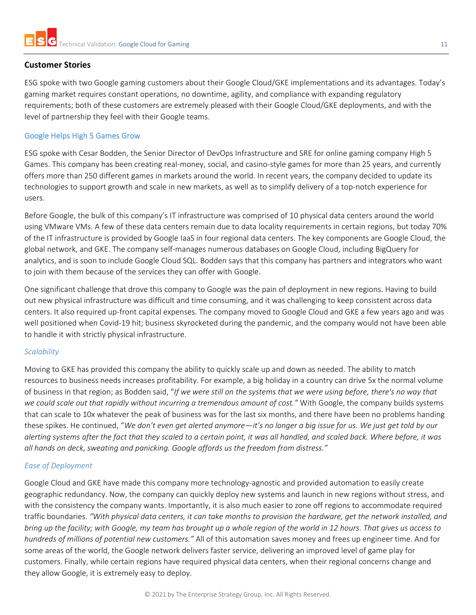#### <span id="page-10-0"></span>**Customer Stories**

ESG spoke with two Google gaming customers about their Google Cloud/GKE implementations and its advantages. Today's gaming market requires constant operations, no downtime, agility, and compliance with expanding regulatory requirements; both of these customers are extremely pleased with their Google Cloud/GKE deployments, and with the level of partnership they feel with their Google teams.

#### <span id="page-10-1"></span>Google Helps High 5 Games Grow

ESG spoke with Cesar Bodden, the Senior Director of DevOps Infrastructure and SRE for online gaming company High 5 Games. This company has been creating real-money, social, and casino-style games for more than 25 years, and currently offers more than 250 different games in markets around the world. In recent years, the company decided to update its technologies to support growth and scale in new markets, as well as to simplify delivery of a top-notch experience for users.

Before Google, the bulk of this company's IT infrastructure was comprised of 10 physical data centers around the world using VMware VMs. A few of these data centers remain due to data locality requirements in certain regions, but today 70% of the IT infrastructure is provided by Google IaaS in four regional data centers. The key components are Google Cloud, the global network, and GKE. The company self-manages numerous databases on Google Cloud, including BigQuery for analytics, and is soon to include Google Cloud SQL. Bodden says that this company has partners and integrators who want to join with them because of the services they can offer with Google.

One significant challenge that drove this company to Google was the pain of deployment in new regions. Having to build out new physical infrastructure was difficult and time consuming, and it was challenging to keep consistent across data centers. It also required up-front capital expenses. The company moved to Google Cloud and GKE a few years ago and was well positioned when Covid-19 hit; business skyrocketed during the pandemic, and the company would not have been able to handle it with strictly physical infrastructure.

#### *Scalability*

Moving to GKE has provided this company the ability to quickly scale up and down as needed. The ability to match resources to business needs increases profitability. For example, a big holiday in a country can drive 5x the normal volume of business in that region; as Bodden said, "*If we were still on the systems that we were using before, there's no way that we could scale out that rapidly without incurring a tremendous amount of cost."* With Google, the company builds systems that can scale to 10x whatever the peak of business was for the last six months, and there have been no problems handing these spikes. He continued, "*We don't even get alerted anymore—it's no longer a big issue for us. We just get told by our alerting systems after the fact that they scaled to a certain point, it was all handled, and scaled back. Where before, it was all hands on deck, sweating and panicking. Google affords us the freedom from distress."*

#### *Ease of Deployment*

Google Cloud and GKE have made this company more technology-agnostic and provided automation to easily create geographic redundancy. Now, the company can quickly deploy new systems and launch in new regions without stress, and with the consistency the company wants. Importantly, it is also much easier to zone off regions to accommodate required traffic boundaries. *"With physical data centers, it can take months to provision the hardware, get the network installed, and bring up the facility; with Google, my team has brought up a whole region of the world in 12 hours. That gives us access to hundreds of millions of potential new customers."* All of this automation saves money and frees up engineer time. And for some areas of the world, the Google network delivers faster service, delivering an improved level of game play for customers. Finally, while certain regions have required physical data centers, when their regional concerns change and they allow Google, it is extremely easy to deploy.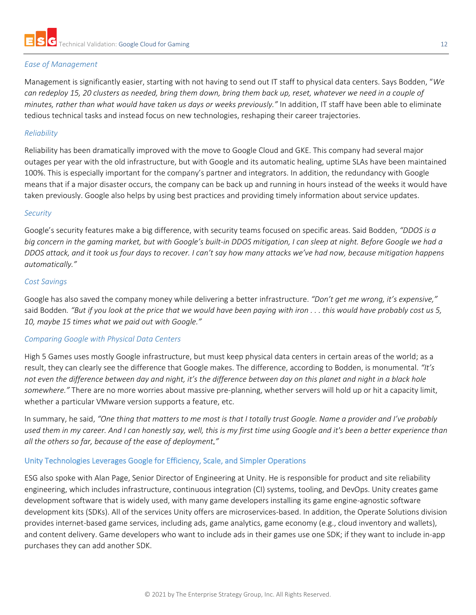#### *Ease of Management*

Management is significantly easier, starting with not having to send out IT staff to physical data centers. Says Bodden, "*We can redeploy 15, 20 clusters as needed, bring them down, bring them back up, reset, whatever we need in a couple of minutes, rather than what would have taken us days or weeks previously."* In addition, IT staff have been able to eliminate tedious technical tasks and instead focus on new technologies, reshaping their career trajectories.

#### *Reliability*

Reliability has been dramatically improved with the move to Google Cloud and GKE. This company had several major outages per year with the old infrastructure, but with Google and its automatic healing, uptime SLAs have been maintained 100%. This is especially important for the company's partner and integrators. In addition, the redundancy with Google means that if a major disaster occurs, the company can be back up and running in hours instead of the weeks it would have taken previously. Google also helps by using best practices and providing timely information about service updates.

#### *Security*

Google's security features make a big difference, with security teams focused on specific areas. Said Bodden, *"DDOS is a big concern in the gaming market, but with Google's built-in DDOS mitigation, I can sleep at night. Before Google we had a DDOS attack, and it took us four days to recover. I can't say how many attacks we've had now, because mitigation happens automatically."*

#### *Cost Savings*

Google has also saved the company money while delivering a better infrastructure. *"Don't get me wrong, it's expensive,"*  said Bodden*. "But if you look at the price that we would have been paying with iron . . . this would have probably cost us 5, 10, maybe 15 times what we paid out with Google."*

#### *Comparing Google with Physical Data Centers*

High 5 Games uses mostly Google infrastructure, but must keep physical data centers in certain areas of the world; as a result, they can clearly see the difference that Google makes. The difference, according to Bodden, is monumental. *"It's not even the difference between day and night, it's the difference between day on this planet and night in a black hole somewhere."* There are no more worries about massive pre-planning, whether servers will hold up or hit a capacity limit, whether a particular VMware version supports a feature, etc.

In summary, he said, *"One thing that matters to me most is that I totally trust Google. Name a provider and I've probably used them in my career. And I can honestly say, well, this is my first time using Google and it's been a better experience than all the others so far, because of the ease of deployment."*

#### <span id="page-11-0"></span>Unity Technologies Leverages Google for Efficiency, Scale, and Simpler Operations

ESG also spoke with Alan Page, Senior Director of Engineering at Unity. He is responsible for product and site reliability engineering, which includes infrastructure, continuous integration (CI) systems, tooling, and DevOps. Unity creates game development software that is widely used, with many game developers installing its game engine-agnostic software development kits (SDKs). All of the services Unity offers are microservices-based. In addition, the Operate Solutions division provides internet-based game services, including ads, game analytics, game economy (e.g., cloud inventory and wallets), and content delivery. Game developers who want to include ads in their games use one SDK; if they want to include in-app purchases they can add another SDK.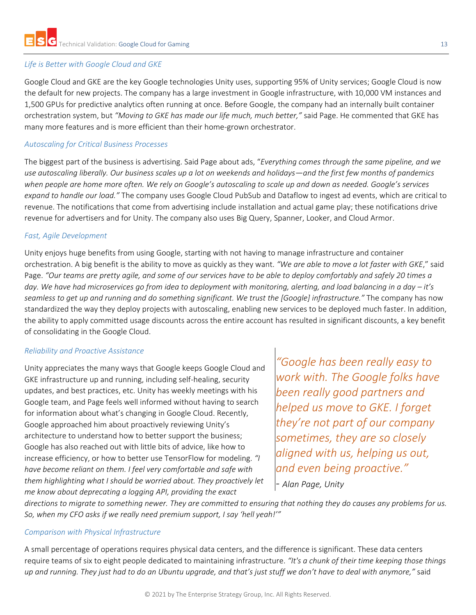#### *Life is Better with Google Cloud and GKE*

Google Cloud and GKE are the key Google technologies Unity uses, supporting 95% of Unity services; Google Cloud is now the default for new projects. The company has a large investment in Google infrastructure, with 10,000 VM instances and 1,500 GPUs for predictive analytics often running at once. Before Google, the company had an internally built container orchestration system, but *"Moving to GKE has made our life much, much better,"* said Page. He commented that GKE has many more features and is more efficient than their home-grown orchestrator.

#### *Autoscaling for Critical Business Processes*

The biggest part of the business is advertising. Said Page about ads, "*Everything comes through the same pipeline, and we use autoscaling liberally. Our business scales up a lot on weekends and holidays—and the first few months of pandemics when people are home more often. We rely on Google's autoscaling to scale up and down as needed. Google's services expand to handle our load."* The company uses Google Cloud PubSub and Dataflow to ingest ad events, which are critical to revenue. The notifications that come from advertising include installation and actual game play; these notifications drive revenue for advertisers and for Unity. The company also uses Big Query, Spanner, Looker, and Cloud Armor.

#### *Fast, Agile Development*

Unity enjoys huge benefits from using Google, starting with not having to manage infrastructure and container orchestration. A big benefit is the ability to move as quickly as they want. *"We are able to move a lot faster with GKE*," said Page. *"Our teams are pretty agile, and some of our services have to be able to deploy comfortably and safely 20 times a*  day. We have had microservices go from idea to deployment with monitoring, alerting, and load balancing in a day – it's *seamless to get up and running and do something significant. We trust the [Google] infrastructure."* The company has now standardized the way they deploy projects with autoscaling, enabling new services to be deployed much faster. In addition, the ability to apply committed usage discounts across the entire account has resulted in significant discounts, a key benefit of consolidating in the Google Cloud.

#### *Reliability and Proactive Assistance*

Unity appreciates the many ways that Google keeps Google Cloud and GKE infrastructure up and running, including self-healing, security updates, and best practices, etc. Unity has weekly meetings with his Google team, and Page feels well informed without having to search for information about what's changing in Google Cloud. Recently, Google approached him about proactively reviewing Unity's architecture to understand how to better support the business; Google has also reached out with little bits of advice, like how to increase efficiency, or how to better use TensorFlow for modeling. *"I have become reliant on them. I feel very comfortable and safe with them highlighting what I should be worried about. They proactively let me know about deprecating a logging API, providing the exact* 

*"Google has been really easy to work with. The Google folks have been really good partners and helped us move to GKE. I forget they're not part of our company sometimes, they are so closely aligned with us, helping us out, and even being proactive."*

*- Alan Page, Unity* 

*directions to migrate to something newer. They are committed to ensuring that nothing they do causes any problems for us. So, when my CFO asks if we really need premium support, I say 'hell yeah!'"* 

#### *Comparison with Physical Infrastructure*

A small percentage of operations requires physical data centers, and the difference is significant. These data centers require teams of six to eight people dedicated to maintaining infrastructure. *"It's a chunk of their time keeping those things up and running. They just had to do an Ubuntu upgrade, and that's just stuff we don't have to deal with anymore,"* said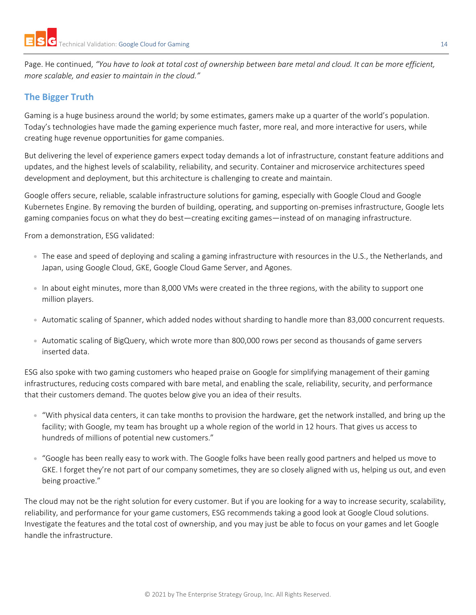Page. He continued, "You have to look at total cost of ownership between bare metal and cloud. It can be more efficient, *more scalable, and easier to maintain in the cloud."*

# <span id="page-13-0"></span>**The Bigger Truth**

Gaming is a huge business around the world; by some estimates, gamers make up a quarter of the world's population. Today's technologies have made the gaming experience much faster, more real, and more interactive for users, while creating huge revenue opportunities for game companies.

But delivering the level of experience gamers expect today demands a lot of infrastructure, constant feature additions and updates, and the highest levels of scalability, reliability, and security. Container and microservice architectures speed development and deployment, but this architecture is challenging to create and maintain.

Google offers secure, reliable, scalable infrastructure solutions for gaming, especially with Google Cloud and Google Kubernetes Engine. By removing the burden of building, operating, and supporting on-premises infrastructure, Google lets gaming companies focus on what they do best—creating exciting games—instead of on managing infrastructure.

From a demonstration, ESG validated:

- The ease and speed of deploying and scaling a gaming infrastructure with resources in the U.S., the Netherlands, and Japan, using Google Cloud, GKE, Google Cloud Game Server, and Agones.
- In about eight minutes, more than 8,000 VMs were created in the three regions, with the ability to support one million players.
- Automatic scaling of Spanner, which added nodes without sharding to handle more than 83,000 concurrent requests.
- Automatic scaling of BigQuery, which wrote more than 800,000 rows per second as thousands of game servers inserted data.

ESG also spoke with two gaming customers who heaped praise on Google for simplifying management of their gaming infrastructures, reducing costs compared with bare metal, and enabling the scale, reliability, security, and performance that their customers demand. The quotes below give you an idea of their results.

- "With physical data centers, it can take months to provision the hardware, get the network installed, and bring up the facility; with Google, my team has brought up a whole region of the world in 12 hours. That gives us access to hundreds of millions of potential new customers."
- "Google has been really easy to work with. The Google folks have been really good partners and helped us move to GKE. I forget they're not part of our company sometimes, they are so closely aligned with us, helping us out, and even being proactive."

The cloud may not be the right solution for every customer. But if you are looking for a way to increase security, scalability, reliability, and performance for your game customers, ESG recommends taking a good look at Google Cloud solutions. Investigate the features and the total cost of ownership, and you may just be able to focus on your games and let Google handle the infrastructure.